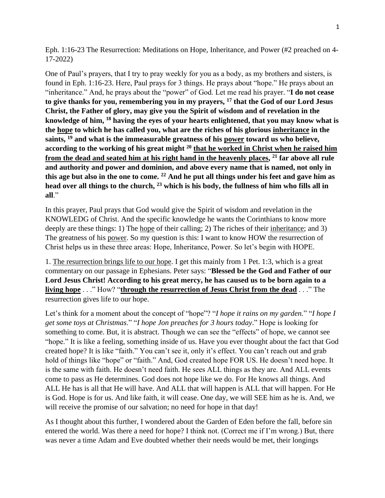Eph. 1:16-23 The Resurrection: Meditations on Hope, Inheritance, and Power (#2 preached on 4- 17-2022)

One of Paul's prayers, that I try to pray weekly for you as a body, as my brothers and sisters, is found in Eph. 1:16-23. Here, Paul prays for 3 things. He prays about "hope." He prays about an "inheritance." And, he prays about the "power" of God. Let me read his prayer. "**I do not cease to give thanks for you, remembering you in my prayers, <sup>17</sup> that the God of our Lord Jesus Christ, the Father of glory, may give you the Spirit of wisdom and of revelation in the knowledge of him, <sup>18</sup> having the eyes of your hearts enlightened, that you may know what is the hope to which he has called you, what are the riches of his glorious inheritance in the saints, <sup>19</sup> and what is the immeasurable greatness of his power toward us who believe, according to the working of his great might <sup>20</sup> that he worked in Christ when he raised him from the dead and seated him at his right hand in the heavenly places, <sup>21</sup> far above all rule and authority and power and dominion, and above every name that is named, not only in this age but also in the one to come. <sup>22</sup> And he put all things under his feet and gave him as head over all things to the church, <sup>23</sup> which is his body, the fullness of him who fills all in all**."

In this prayer, Paul prays that God would give the Spirit of wisdom and revelation in the KNOWLEDG of Christ. And the specific knowledge he wants the Corinthians to know more deeply are these things: 1) The hope of their calling; 2) The riches of their inheritance; and 3) The greatness of his power. So my question is this: I want to know HOW the resurrection of Christ helps us in these three areas: Hope, Inheritance, Power. So let's begin with HOPE.

1. The resurrection brings life to our hope. I get this mainly from 1 Pet. 1:3, which is a great commentary on our passage in Ephesians. Peter says: "**Blessed be the God and Father of our Lord Jesus Christ! According to his great mercy, he has caused us to be born again to a living hope** . . ." How? "**through the resurrection of Jesus Christ from the dead** . . ." The resurrection gives life to our hope.

Let's think for a moment about the concept of "hope"? "*I hope it rains on my garden.*" "*I hope I get some toys at Christmas*." "*I hope Jon preaches for 3 hours today*." Hope is looking for something to come. But, it is abstract. Though we can see the "effects" of hope, we cannot see "hope." It is like a feeling, something inside of us. Have you ever thought about the fact that God created hope? It is like "faith." You can't see it, only it's effect. You can't reach out and grab hold of things like "hope" or "faith." And, God created hope FOR US. He doesn't need hope. It is the same with faith. He doesn't need faith. He sees ALL things as they are. And ALL events come to pass as He determines. God does not hope like we do. For He knows all things. And ALL He has is all that He will have. And ALL that will happen is ALL that will happen. For He is God. Hope is for us. And like faith, it will cease. One day, we will SEE him as he is. And, we will receive the promise of our salvation; no need for hope in that day!

As I thought about this further, I wondered about the Garden of Eden before the fall, before sin entered the world. Was there a need for hope? I think not. (Correct me if I'm wrong.) But, there was never a time Adam and Eve doubted whether their needs would be met, their longings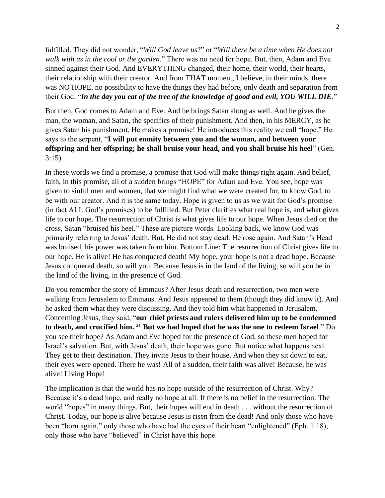fulfilled. They did not wonder, "*Will God leave us*?" or "*Will there be a time when He does not walk with us in the cool or the garden*." There was no need for hope. But, then, Adam and Eve sinned against their God. And EVERYTHING changed, their home, their world, their hearts, their relationship with their creator. And from THAT moment, I believe, in their minds, there was NO HOPE, no possibility to have the things they had before, only death and separation from their God. "*In the day you eat of the tree of the knowledge of good and evil, YOU WILL DIE*."

But then, God comes to Adam and Eve. And he brings Satan along as well. And he gives the man, the woman, and Satan, the specifics of their punishment. And then, in his MERCY, as he gives Satan his punishment, He makes a promise! He introduces this reality we call "hope." He says to the serpent, "**I will put enmity between you and the woman, and between your offspring and her offspring; he shall bruise your head, and you shall bruise his heel**" (Gen. 3:15).

In these words we find a promise, a promise that God will make things right again. And belief, faith, in this promise, all of a sudden brings "HOPE" for Adam and Eve. You see, hope was given to sinful men and women, that we might find what we were created for, to know God, to be with our creator. And it is the same today. Hope is given to us as we wait for God's promise (in fact ALL God's promises) to be fulfilled. But Peter clarifies what real hope is, and what gives life to our hope. The resurrection of Christ is what gives life to our hope. When Jesus died on the cross, Satan "bruised his heel." These are picture words. Looking back, we know God was primarily referring to Jesus' death. But, He did not stay dead. He rose again. And Satan's Head was bruised, his power was taken from him. Bottom Line: The resurrection of Christ gives life to our hope. He is alive! He has conquered death! My hope, your hope is not a dead hope. Because Jesus conquered death, so will you. Because Jesus is in the land of the living, so will you be in the land of the living, in the presence of God.

Do you remember the story of Emmaus? After Jesus death and resurrection, two men were walking from Jerusalem to Emmaus. And Jesus appeared to them (though they did know it). And he asked them what they were discussing. And they told him what happened in Jerusalem. Concerning Jesus, they said, "**our chief priests and rulers delivered him up to be condemned to death, and crucified him. <sup>21</sup> But we had hoped that he was the one to redeem Israel**." Do you see their hope? As Adam and Eve hoped for the presence of God, so these men hoped for Israel's salvation. But, with Jesus' death, their hope was gone. But notice what happens next. They get to their destination. They invite Jesus to their house. And when they sit down to eat, their eyes were opened. There he was! All of a sudden, their faith was alive! Because, he was alive! Living Hope!

The implication is that the world has no hope outside of the resurrection of Christ. Why? Because it's a dead hope, and really no hope at all. If there is no belief in the resurrection. The world "hopes" in many things. But, their hopes will end in death . . . without the resurrection of Christ. Today, our hope is alive because Jesus is risen from the dead! And only those who have been "born again," only those who have had the eyes of their heart "enlightened" (Eph. 1:18), only those who have "believed" in Christ have this hope.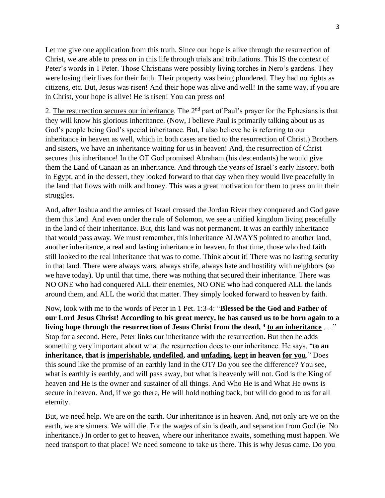Let me give one application from this truth. Since our hope is alive through the resurrection of Christ, we are able to press on in this life through trials and tribulations. This IS the context of Peter's words in 1 Peter. Those Christians were possibly living torches in Nero's gardens. They were losing their lives for their faith. Their property was being plundered. They had no rights as citizens, etc. But, Jesus was risen! And their hope was alive and well! In the same way, if you are in Christ, your hope is alive! He is risen! You can press on!

2. The resurrection secures our inheritance. The 2<sup>nd</sup> part of Paul's prayer for the Ephesians is that they will know his glorious inheritance. (Now, I believe Paul is primarily talking about us as God's people being God's special inheritance. But, I also believe he is referring to our inheritance in heaven as well, which in both cases are tied to the resurrection of Christ.) Brothers and sisters, we have an inheritance waiting for us in heaven! And, the resurrection of Christ secures this inheritance! In the OT God promised Abraham (his descendants) he would give them the Land of Canaan as an inheritance. And through the years of Israel's early history, both in Egypt, and in the dessert, they looked forward to that day when they would live peacefully in the land that flows with milk and honey. This was a great motivation for them to press on in their struggles.

And, after Joshua and the armies of Israel crossed the Jordan River they conquered and God gave them this land. And even under the rule of Solomon, we see a unified kingdom living peacefully in the land of their inheritance. But, this land was not permanent. It was an earthly inheritance that would pass away. We must remember, this inheritance ALWAYS pointed to another land, another inheritance, a real and lasting inheritance in heaven. In that time, those who had faith still looked to the real inheritance that was to come. Think about it! There was no lasting security in that land. There were always wars, always strife, always hate and hostility with neighbors (so we have today). Up until that time, there was nothing that secured their inheritance. There was NO ONE who had conquered ALL their enemies, NO ONE who had conquered ALL the lands around them, and ALL the world that matter. They simply looked forward to heaven by faith.

Now, look with me to the words of Peter in 1 Pet. 1:3-4: "**Blessed be the God and Father of our Lord Jesus Christ! According to his great mercy, he has caused us to be born again to a living hope through the resurrection of Jesus Christ from the dead, <sup>4</sup> to an inheritance** . . ." Stop for a second. Here, Peter links our inheritance with the resurrection. But then he adds something very important about what the resurrection does to our inheritance. He says, "**to an inheritance, that is imperishable, undefiled, and unfading, kept in heaven for you**." Does this sound like the promise of an earthly land in the OT? Do you see the difference? You see, what is earthly is earthly, and will pass away, but what is heavenly will not. God is the King of heaven and He is the owner and sustainer of all things. And Who He is and What He owns is secure in heaven. And, if we go there, He will hold nothing back, but will do good to us for all eternity.

But, we need help. We are on the earth. Our inheritance is in heaven. And, not only are we on the earth, we are sinners. We will die. For the wages of sin is death, and separation from God (ie. No inheritance.) In order to get to heaven, where our inheritance awaits, something must happen. We need transport to that place! We need someone to take us there. This is why Jesus came. Do you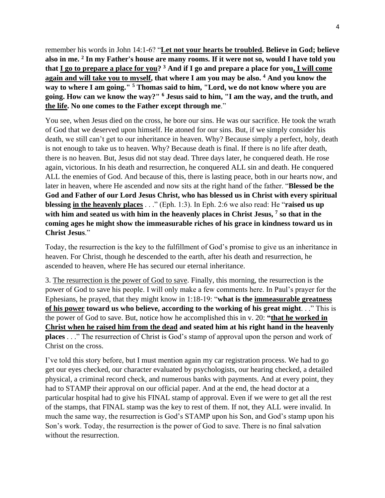remember his words in John 14:1-6? "**Let not your hearts be troubled. Believe in God; believe also in me. <sup>2</sup> In my Father's house are many rooms. If it were not so, would I have told you that I go to prepare a place for you? <sup>3</sup> And if I go and prepare a place for you, I will come again and will take you to myself, that where I am you may be also. <sup>4</sup> And you know the way to where I am going." <sup>5</sup> Thomas said to him, "Lord, we do not know where you are going. How can we know the way?" <sup>6</sup> Jesus said to him, "I am the way, and the truth, and the life. No one comes to the Father except through me**."

You see, when Jesus died on the cross, he bore our sins. He was our sacrifice. He took the wrath of God that we deserved upon himself. He atoned for our sins. But, if we simply consider his death, we still can't get to our inheritance in heaven. Why? Because simply a perfect, holy, death is not enough to take us to heaven. Why? Because death is final. If there is no life after death, there is no heaven. But, Jesus did not stay dead. Three days later, he conquered death. He rose again, victorious. In his death and resurrection, he conquered ALL sin and death. He conquered ALL the enemies of God. And because of this, there is lasting peace, both in our hearts now, and later in heaven, where He ascended and now sits at the right hand of the father. "**Blessed be the God and Father of our Lord Jesus Christ, who has blessed us in Christ with every spiritual blessing in the heavenly places** . . ." (Eph. 1:3). In Eph. 2:6 we also read: He "**raised us up with him and seated us with him in the heavenly places in Christ Jesus, <sup>7</sup> so that in the coming ages he might show the immeasurable riches of his grace in kindness toward us in Christ Jesus**."

Today, the resurrection is the key to the fulfillment of God's promise to give us an inheritance in heaven. For Christ, though he descended to the earth, after his death and resurrection, he ascended to heaven, where He has secured our eternal inheritance.

3. The resurrection is the power of God to save. Finally, this morning, the resurrection is the power of God to save his people. I will only make a few comments here. In Paul's prayer for the Ephesians, he prayed, that they might know in 1:18-19: "**what is the immeasurable greatness of his power toward us who believe, according to the working of his great might**. . ." This is the power of God to save. But, notice how he accomplished this in v. 20: **"that he worked in Christ when he raised him from the dead and seated him at his right hand in the heavenly places** . . ." The resurrection of Christ is God's stamp of approval upon the person and work of Christ on the cross.

I've told this story before, but I must mention again my car registration process. We had to go get our eyes checked, our character evaluated by psychologists, our hearing checked, a detailed physical, a criminal record check, and numerous banks with payments. And at every point, they had to STAMP their approval on our official paper. And at the end, the head doctor at a particular hospital had to give his FINAL stamp of approval. Even if we were to get all the rest of the stamps, that FINAL stamp was the key to rest of them. If not, they ALL were invalid. In much the same way, the resurrection is God's STAMP upon his Son, and God's stamp upon his Son's work. Today, the resurrection is the power of God to save. There is no final salvation without the resurrection.